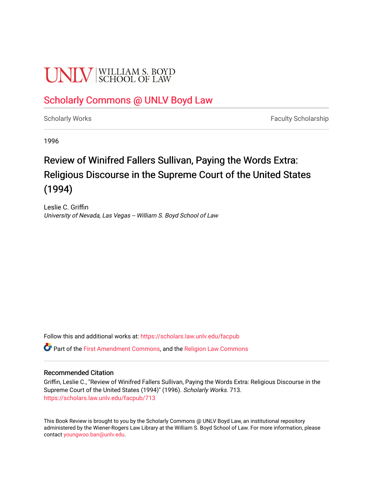# **UNIV** SCHOOL OF LAW

### [Scholarly Commons @ UNLV Boyd Law](https://scholars.law.unlv.edu/)

[Scholarly Works](https://scholars.law.unlv.edu/facpub) **Faculty Scholarship** Faculty Scholarship

1996

## Review of Winifred Fallers Sullivan, Paying the Words Extra: Religious Discourse in the Supreme Court of the United States (1994)

Leslie C. Griffin University of Nevada, Las Vegas -- William S. Boyd School of Law

Follow this and additional works at: [https://scholars.law.unlv.edu/facpub](https://scholars.law.unlv.edu/facpub?utm_source=scholars.law.unlv.edu%2Ffacpub%2F713&utm_medium=PDF&utm_campaign=PDFCoverPages) **C**<sup> $\bullet$ </sup> Part of the [First Amendment Commons,](http://network.bepress.com/hgg/discipline/1115?utm_source=scholars.law.unlv.edu%2Ffacpub%2F713&utm_medium=PDF&utm_campaign=PDFCoverPages) and the Religion Law Commons

### Recommended Citation

Griffin, Leslie C., "Review of Winifred Fallers Sullivan, Paying the Words Extra: Religious Discourse in the Supreme Court of the United States (1994)" (1996). Scholarly Works. 713. [https://scholars.law.unlv.edu/facpub/713](https://scholars.law.unlv.edu/facpub/713?utm_source=scholars.law.unlv.edu%2Ffacpub%2F713&utm_medium=PDF&utm_campaign=PDFCoverPages)

This Book Review is brought to you by the Scholarly Commons @ UNLV Boyd Law, an institutional repository administered by the Wiener-Rogers Law Library at the William S. Boyd School of Law. For more information, please contact [youngwoo.ban@unlv.edu](mailto:youngwoo.ban@unlv.edu).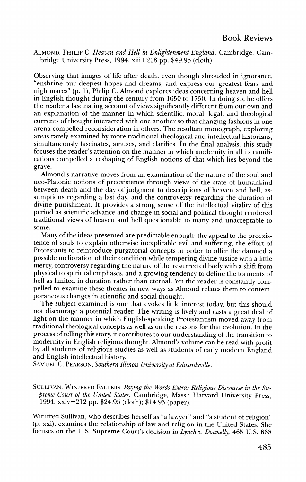**ALMOND, PHILIP C. Heaven and Hell in Enlightenment England. Cambridge: Cambridge University Press, 1994. xiii+218 pp. \$49.95 (cloth).** 

**Observing that images of life after death, even though shrouded in ignorance, "enshrine our deepest hopes and dreams, and express our greatest fears and nightmares" (p. 1), Philip C. Almond explores ideas concerning heaven and hell in English thought during the century from 1650 to 1750. In doing so, he offers the reader a fascinating account of views significantly different from our own and an explanation of the manner in which scientific, moral, legal, and theological currents of thought interacted with one another so that changing fashions in one arena compelled reconsideration in others. The resultant monograph, exploring areas rarely examined by more traditional theological and intellectual historians, simultaneously fascinates, amuses, and clarifies. In the final analysis, this study focuses the reader's attention on the manner in which modernity in all its ramifications compelled a reshaping of English notions of that which lies beyond the grave.** 

**Almond's narrative moves from an examination of the nature of the soul and neo-Platonic notions of preexistence through views of the state of humankind between death and the day of judgment to descriptions of heaven and hell, assumptions regarding a last day, and the controversy regarding the duration of divine punishment. It provides a strong sense of the intellectual vitality of this period as scientific advance and change in social and political thought rendered traditional views of heaven and hell questionable to many and unacceptable to some.** 

**Many of the ideas presented are predictable enough: the appeal to the preexistence of souls to explain otherwise inexplicable evil and suffering, the effort of Protestants to reintroduce purgatorial concepts in order to offer the damned a possible melioration of their condition while tempering divine justice with a little mercy, controversy regarding the nature of the resurrected body with a shift from physical to spiritual emphases, and a growing tendency to define the torments of hell as limited in duration rather than eternal. Yet the reader is constantly compelled to examine these themes in new ways as Almond relates them to contemporaneous changes in scientific and social thought.** 

**The subject examined is one that evokes little interest today, but this should not discourage a potential reader. The writing is lively and casts a great deal of light on the manner in which English-speaking Protestantism moved away from traditional theological concepts as well as on the reasons for that evolution. In the process of telling this story, it contributes to our understanding of the transition to modernity in English religious thought. Almond's volume can be read with profit by all students of religious studies as well as students of early modern England and English intellectual history.** 

**SAMUEL C. PEARSON, Southern Illinois University at Edwardsville.** 

**SULLIVAN, WINIFRED FALLERS. Paying the Words Extra: Religious Discourse in the Supreme Court of the United States. Cambridge, Mass.: Harvard University Press, 1994. xxiv+212 pp. \$24.95 (cloth); \$14.95 (paper).** 

**Winifred Sullivan, who describes herself as "a lawyer" and "a student of religion" (p. xxi), examines the relationship of law and religion in the United States. She focuses on the U.S. Supreme Court's decision in Lynch v. Donnelly, 465 U.S. 668**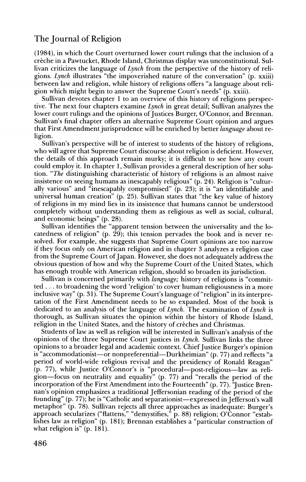#### **The Journal of Religion**

**(1984), in which the Court overturned lower court rulings that the inclusion of a creche in a Pawtucket, Rhode Island, Christmas display was unconstitutional. Sullivan criticizes the language of Lynch from the perspective of the history of religions. Lynch illustrates "the impoverished nature of the conversation" (p. xxiii) between law and religion, while history of religions offers "a language about religion which might begin to answer the Supreme Court's needs" (p. xxiii).** 

**Sullivan devotes chapter 1 to an overview of this history of religions perspective. The next four chapters examine Lynch in great detail; Sullivan analyzes the**  lower court rulings and the opinions of Justices Burger, O'Connor, and Brennan. **Sullivan's final chapter offers an alternative Supreme Court opinion and argues that First Amendment jurisprudence will be enriched by better language about religion.** 

**Sullivan's perspective will be of interest to students of the history of religions, who will agree that Supreme Court discourse about religion is deficient. However, the details of this approach remain murky; it is difficult to see how any court could employ it. In chapter 1, Sullivan provides a general description of her solution. "The distinguishing characteristic of history of religions is an almost naive insistence on seeing humans as inescapably religious" (p. 24). Religion is "culturally various" and "inescapably compromised" (p. 23); it is "an identifiable and universal human creation" (p. 25). Sullivan states that "the key value of history of religions in my mind lies in its insistence that humans cannot be understood completely without understanding them as religious as well as social, cultural, and economic beings" (p. 28).** 

**Sullivan identifies the "apparent tension between the universality and the lo**catedness of religion" (p. 29); this tension pervades the book and is never re**solved. For example, she suggests that Supreme Court opinions are too narrow if they focus only on American religion and in chapter 3 analyzes a religion case**  from the Supreme Court of Japan. However, she does not adequately address the **obvious question of how and why the Supreme Court of the United States, which has enough trouble with American religion, should so broaden its jurisdiction.** 

**Sullivan is concerned primarily with language; history of religions is "committed ... to broadening the word 'religion' to cover human religiousness in a more inclusive way" (p. 31). The Supreme Court's language of "religion" in its interpretation of the First Amendment needs to be so expanded. Most of the book is dedicated to an analysis of the language of Lynch. The examination of Lynch is thorough, as Sullivan situates the opinion within the history of Rhode Island,**  religion in the United States, and the history of crèches and Christmas.

**Students of law as well as religion will be interested in Sullivan's analysis of the opinions of the three Supreme Court justices in Lynch. Sullivan links the three opinions to a broader legal and academic context. Chief Justice Burger's opinion**  is "accommodationist—or nonpreferential—Durkheimian" (p. 77) and reflects "a **period of world-wide religious revival and the presidency of Ronald Reagan"**  (p. 77), while Justice O'Connor's is "procedural-post-religious-law as reli**gion-focus on neutrality and equality" (p. 77) and "recalls the period of the incorporation of the First Amendment into the Fourteenth" (p. 77). 'Justice Brennan's opinion emphasizes a traditional Jeffersonian reading of the period of the**  founding" (p. 77); he is "Catholic and separationist-expressed in Jefferson's wall **metaphor" (p. 78). Sullivan rejects all three approaches as inadequate: Burger's approach secularizes ("flattens," "demystifies," p. 88) religion; O'Connor "establishes law as religion" (p. 181); Brennan establishes a "particular construction of what religion is" (p. 181).**